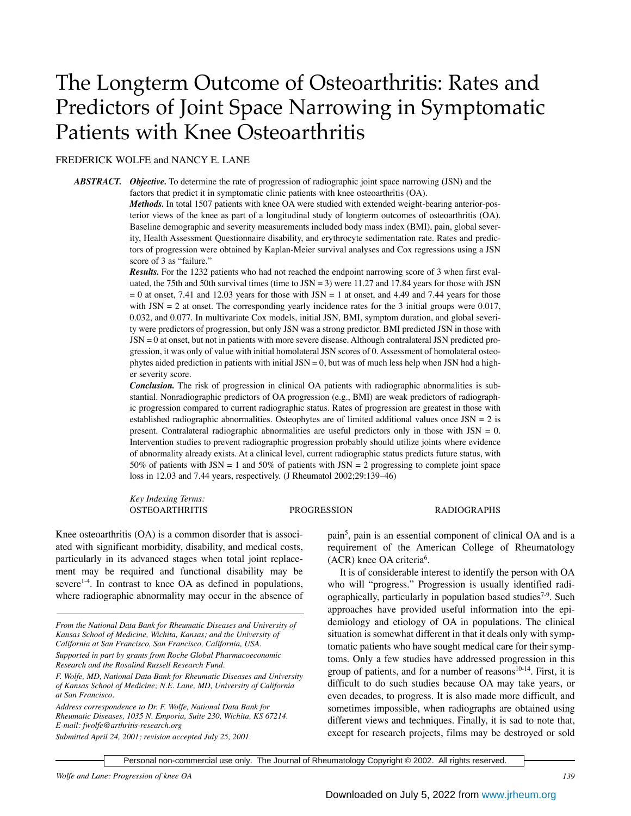# The Longterm Outcome of Osteoarthritis: Rates and Predictors of Joint Space Narrowing in Symptomatic Patients with Knee Osteoarthritis

# FREDERICK WOLFE and NANCY E. LANE

*ABSTRACT. Objective.* To determine the rate of progression of radiographic joint space narrowing (JSN) and the factors that predict it in symptomatic clinic patients with knee osteoarthritis (OA).

> *Methods.* In total 1507 patients with knee OA were studied with extended weight-bearing anterior-posterior views of the knee as part of a longitudinal study of longterm outcomes of osteoarthritis (OA). Baseline demographic and severity measurements included body mass index (BMI), pain, global severity, Health Assessment Questionnaire disability, and erythrocyte sedimentation rate. Rates and predictors of progression were obtained by Kaplan-Meier survival analyses and Cox regressions using a JSN score of 3 as "failure."

> *Results.* For the 1232 patients who had not reached the endpoint narrowing score of 3 when first evaluated, the 75th and 50th survival times (time to JSN = 3) were 11.27 and 17.84 years for those with JSN  $= 0$  at onset, 7.41 and 12.03 years for those with JSN  $= 1$  at onset, and 4.49 and 7.44 years for those with  $JSN = 2$  at onset. The corresponding yearly incidence rates for the 3 initial groups were 0.017, 0.032, and 0.077. In multivariate Cox models, initial JSN, BMI, symptom duration, and global severity were predictors of progression, but only JSN was a strong predictor. BMI predicted JSN in those with JSN = 0 at onset, but not in patients with more severe disease. Although contralateral JSN predicted progression, it was only of value with initial homolateral JSN scores of 0. Assessment of homolateral osteophytes aided prediction in patients with initial  $JSN = 0$ , but was of much less help when JSN had a higher severity score.

> *Conclusion.* The risk of progression in clinical OA patients with radiographic abnormalities is substantial. Nonradiographic predictors of OA progression (e.g., BMI) are weak predictors of radiographic progression compared to current radiographic status. Rates of progression are greatest in those with established radiographic abnormalities. Osteophytes are of limited additional values once  $JSN = 2$  is present. Contralateral radiographic abnormalities are useful predictors only in those with  $JSN = 0$ . Intervention studies to prevent radiographic progression probably should utilize joints where evidence of abnormality already exists. At a clinical level, current radiographic status predicts future status, with 50% of patients with JSN = 1 and 50% of patients with JSN = 2 progressing to complete joint space loss in 12.03 and 7.44 years, respectively. (J Rheumatol 2002;29:139–46)

> *Key Indexing Terms:* OSTEOARTHRITIS PROGRESSION RADIOGRAPHS

Knee osteoarthritis (OA) is a common disorder that is associated with significant morbidity, disability, and medical costs, particularly in its advanced stages when total joint replacement may be required and functional disability may be severe<sup>1-4</sup>. In contrast to knee OA as defined in populations, where radiographic abnormality may occur in the absence of

*Research and the Rosalind Russell Research Fund. F. Wolfe, MD, National Data Bank for Rheumatic Diseases and University*

*Address correspondence to Dr. F. Wolfe, National Data Bank for Rheumatic Diseases, 1035 N. Emporia, Suite 230, Wichita, KS 67214. E-mail: fwolfe@arthritis-research.org*

*Submitted April 24, 2001; revision accepted July 25, 2001.*

pain<sup>5</sup>, pain is an essential component of clinical OA and is a requirement of the American College of Rheumatology (ACR) knee OA criteria6 .

It is of considerable interest to identify the person with OA who will "progress." Progression is usually identified radiographically, particularly in population based studies<sup>7-9</sup>. Such approaches have provided useful information into the epidemiology and etiology of OA in populations. The clinical situation is somewhat different in that it deals only with symptomatic patients who have sought medical care for their symptoms. Only a few studies have addressed progression in this group of patients, and for a number of reasons<sup>10-14</sup>. First, it is difficult to do such studies because OA may take years, or even decades, to progress. It is also made more difficult, and sometimes impossible, when radiographs are obtained using different views and techniques. Finally, it is sad to note that, except for research projects, films may be destroyed or sold

Personal non-commercial use only. The Journal of Rheumatology Copyright © 2002. All rights reserved.

*From the National Data Bank for Rheumatic Diseases and University of Kansas School of Medicine, Wichita, Kansas; and the University of California at San Francisco, San Francisco, California, USA. Supported in part by grants from Roche Global Pharmacoeconomic*

*of Kansas School of Medicine; N.E. Lane, MD, University of California at San Francisco.*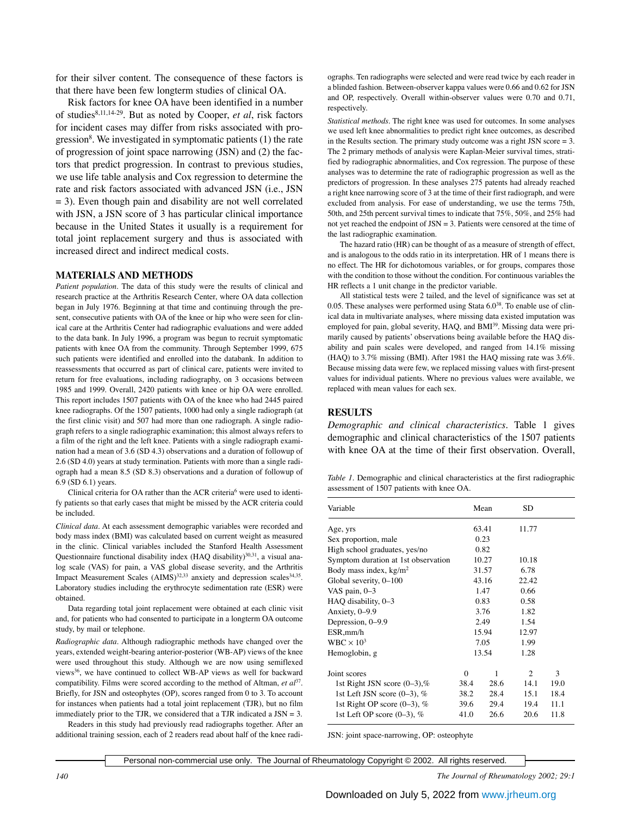for their silver content. The consequence of these factors is that there have been few longterm studies of clinical OA.

Risk factors for knee OA have been identified in a number of studies8,11,14-29. But as noted by Cooper, *et al*, risk factors for incident cases may differ from risks associated with progression<sup>8</sup>. We investigated in symptomatic patients (1) the rate of progression of joint space narrowing (JSN) and (2) the factors that predict progression. In contrast to previous studies, we use life table analysis and Cox regression to determine the rate and risk factors associated with advanced JSN (i.e., JSN  $= 3$ ). Even though pain and disability are not well correlated with JSN, a JSN score of 3 has particular clinical importance because in the United States it usually is a requirement for total joint replacement surgery and thus is associated with increased direct and indirect medical costs.

### **MATERIALS AND METHODS**

*Patient population.* The data of this study were the results of clinical and research practice at the Arthritis Research Center, where OA data collection began in July 1976. Beginning at that time and continuing through the present, consecutive patients with OA of the knee or hip who were seen for clinical care at the Arthritis Center had radiographic evaluations and were added to the data bank. In July 1996, a program was begun to recruit symptomatic patients with knee OA from the community. Through September 1999, 675 such patients were identified and enrolled into the databank. In addition to reassessments that occurred as part of clinical care, patients were invited to return for free evaluations, including radiography, on 3 occasions between 1985 and 1999. Overall, 2420 patients with knee or hip OA were enrolled. This report includes 1507 patients with OA of the knee who had 2445 paired knee radiographs. Of the 1507 patients, 1000 had only a single radiograph (at the first clinic visit) and 507 had more than one radiograph. A single radiograph refers to a single radiographic examination; this almost always refers to a film of the right and the left knee. Patients with a single radiograph examination had a mean of 3.6 (SD 4.3) observations and a duration of followup of 2.6 (SD 4.0) years at study termination. Patients with more than a single radiograph had a mean 8.5 (SD 8.3) observations and a duration of followup of 6.9 (SD 6.1) years.

Clinical criteria for OA rather than the ACR criteria<sup>6</sup> were used to identify patients so that early cases that might be missed by the ACR criteria could be included.

*Clinical data.* At each assessment demographic variables were recorded and body mass index (BMI) was calculated based on current weight as measured in the clinic. Clinical variables included the Stanford Health Assessment Questionnaire functional disability index (HAQ disability)<sup>30,31</sup>, a visual analog scale (VAS) for pain, a VAS global disease severity, and the Arthritis Impact Measurement Scales (AIMS)<sup>32,33</sup> anxiety and depression scales<sup>34,35</sup>. Laboratory studies including the erythrocyte sedimentation rate (ESR) were obtained.

Data regarding total joint replacement were obtained at each clinic visit and, for patients who had consented to participate in a longterm OA outcome study, by mail or telephone.

*Radiographic data.* Although radiographic methods have changed over the years, extended weight-bearing anterior-posterior (WB-AP) views of the knee were used throughout this study. Although we are now using semiflexed views36, we have continued to collect WB-AP views as well for backward compatibility. Films were scored according to the method of Altman, *et al*<sup>37</sup>. Briefly, for JSN and osteophytes (OP), scores ranged from 0 to 3. To account for instances when patients had a total joint replacement (TJR), but no film immediately prior to the TJR, we considered that a TJR indicated a  $JSN = 3$ .

Readers in this study had previously read radiographs together. After an additional training session, each of 2 readers read about half of the knee radiographs. Ten radiographs were selected and were read twice by each reader in a blinded fashion. Between-observer kappa values were 0.66 and 0.62 for JSN and OP, respectively. Overall within-observer values were 0.70 and 0.71, respectively.

*Statistical methods.* The right knee was used for outcomes. In some analyses we used left knee abnormalities to predict right knee outcomes, as described in the Results section. The primary study outcome was a right JSN score  $= 3$ . The 2 primary methods of analysis were Kaplan-Meier survival times, stratified by radiographic abnormalities, and Cox regression. The purpose of these analyses was to determine the rate of radiographic progression as well as the predictors of progression. In these analyses 275 patents had already reached a right knee narrowing score of 3 at the time of their first radiograph, and were excluded from analysis. For ease of understanding, we use the terms 75th, 50th, and 25th percent survival times to indicate that 75%, 50%, and 25% had not yet reached the endpoint of JSN = 3. Patients were censored at the time of the last radiographic examination.

The hazard ratio (HR) can be thought of as a measure of strength of effect, and is analogous to the odds ratio in its interpretation. HR of 1 means there is no effect. The HR for dichotomous variables, or for groups, compares those with the condition to those without the condition. For continuous variables the HR reflects a 1 unit change in the predictor variable.

All statistical tests were 2 tailed, and the level of significance was set at 0.05. These analyses were performed using Stata  $6.0^{38}$ . To enable use of clinical data in multivariate analyses, where missing data existed imputation was employed for pain, global severity, HAQ, and BMI<sup>39</sup>. Missing data were primarily caused by patients' observations being available before the HAQ disability and pain scales were developed, and ranged from 14.1% missing (HAQ) to 3.7% missing (BMI). After 1981 the HAQ missing rate was 3.6%. Because missing data were few, we replaced missing values with first-present values for individual patients. Where no previous values were available, we replaced with mean values for each sex.

### **RESULTS**

*Demographic and clinical characteristics.* Table 1 gives demographic and clinical characteristics of the 1507 patients with knee OA at the time of their first observation. Overall,

*Table 1.* Demographic and clinical characteristics at the first radiographic assessment of 1507 patients with knee OA.

| Variable                            |          | Mean  | SD             |      |
|-------------------------------------|----------|-------|----------------|------|
| Age, yrs                            |          | 63.41 | 11.77          |      |
| Sex proportion, male                |          | 0.23  |                |      |
| High school graduates, yes/no       |          | 0.82  |                |      |
| Symptom duration at 1st observation |          | 10.27 | 10.18          |      |
| Body mass index, $kg/m2$            |          | 31.57 | 6.78           |      |
| Global severity, 0-100              |          | 43.16 | 22.42          |      |
| VAS pain, $0-3$                     |          | 1.47  | 0.66           |      |
| HAQ disability, 0-3                 | 0.83     |       | 0.58           |      |
| Anxiety, 0-9.9                      |          | 3.76  | 1.82           |      |
| Depression, 0-9.9                   | 2.49     |       | 1.54           |      |
| ESR,mm/h                            | 15.94    |       | 12.97          |      |
| WBC $\times 10^3$                   | 7.05     |       | 1.99           |      |
| Hemoglobin, g                       |          | 13.54 | 1.28           |      |
| Joint scores                        | $\theta$ | 1     | $\overline{2}$ | 3    |
| 1st Right JSN score $(0-3)$ ,%      | 38.4     | 28.6  | 14.1           | 19.0 |
| 1st Left JSN score $(0-3)$ , %      | 38.2     | 28.4  | 15.1           | 18.4 |
| 1st Right OP score $(0-3)$ , %      | 39.6     | 29.4  | 19.4           | 11.1 |
| 1st Left OP score $(0-3)$ , %       | 41.0     | 26.6  | 20.6           | 11.8 |

JSN: joint space-narrowing, OP: osteophyte

Personal non-commercial use only. The Journal of Rheumatology Copyright © 2002. All rights reserved.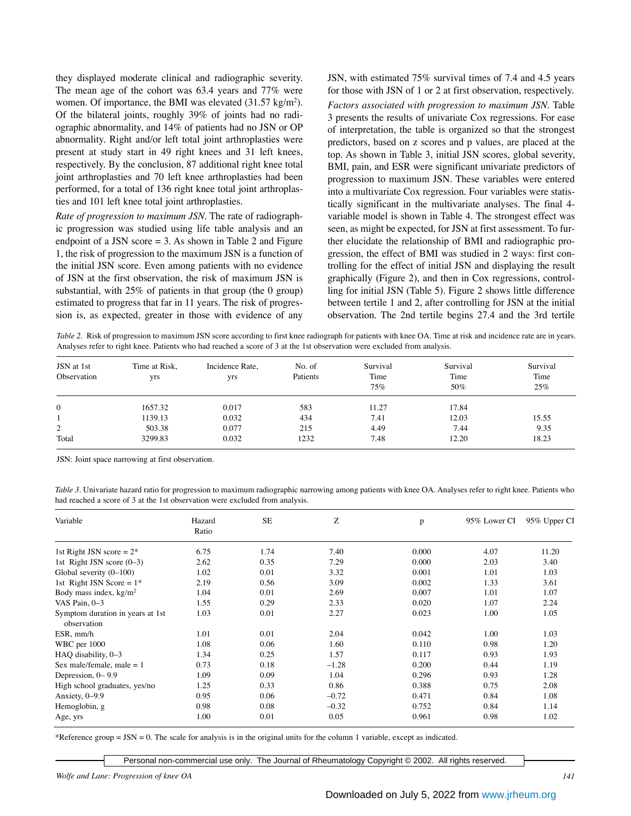they displayed moderate clinical and radiographic severity. The mean age of the cohort was 63.4 years and 77% were women. Of importance, the BMI was elevated  $(31.57 \text{ kg/m}^2)$ . Of the bilateral joints, roughly 39% of joints had no radiographic abnormality, and 14% of patients had no JSN or OP abnormality. Right and/or left total joint arthroplasties were present at study start in 49 right knees and 31 left knees, respectively. By the conclusion, 87 additional right knee total joint arthroplasties and 70 left knee arthroplasties had been performed, for a total of 136 right knee total joint arthroplasties and 101 left knee total joint arthroplasties.

*Rate of progression to maximum JSN.* The rate of radiographic progression was studied using life table analysis and an endpoint of a JSN score  $= 3$ . As shown in Table 2 and Figure 1, the risk of progression to the maximum JSN is a function of the initial JSN score. Even among patients with no evidence of JSN at the first observation, the risk of maximum JSN is substantial, with 25% of patients in that group (the 0 group) estimated to progress that far in 11 years. The risk of progression is, as expected, greater in those with evidence of any

JSN, with estimated 75% survival times of 7.4 and 4.5 years for those with JSN of 1 or 2 at first observation, respectively. *Factors associated with progression to maximum JSN.* Table 3 presents the results of univariate Cox regressions. For ease of interpretation, the table is organized so that the strongest predictors, based on z scores and p values, are placed at the top. As shown in Table 3, initial JSN scores, global severity, BMI, pain, and ESR were significant univariate predictors of progression to maximum JSN. These variables were entered into a multivariate Cox regression. Four variables were statistically significant in the multivariate analyses. The final 4 variable model is shown in Table 4. The strongest effect was seen, as might be expected, for JSN at first assessment. To further elucidate the relationship of BMI and radiographic progression, the effect of BMI was studied in 2 ways: first controlling for the effect of initial JSN and displaying the result graphically (Figure 2), and then in Cox regressions, controlling for initial JSN (Table 5). Figure 2 shows little difference between tertile 1 and 2, after controlling for JSN at the initial observation. The 2nd tertile begins 27.4 and the 3rd tertile

*Table 2.* Risk of progression to maximum JSN score according to first knee radiograph for patients with knee OA. Time at risk and incidence rate are in years. Analyses refer to right knee. Patients who had reached a score of 3 at the 1st observation were excluded from analysis.

| JSN at 1st<br>Observation | Time at Risk,<br>yrs | Incidence Rate.<br>yrs | No. of<br>Patients | Survival<br>Time<br>75% | Survival<br>Time<br>50% | Survival<br>Time<br>25% |
|---------------------------|----------------------|------------------------|--------------------|-------------------------|-------------------------|-------------------------|
| $\mathbf{0}$              | 1657.32              | 0.017                  | 583                | 11.27                   | 17.84                   |                         |
|                           | 1139.13              | 0.032                  | 434                | 7.41                    | 12.03                   | 15.55                   |
| 2                         | 503.38               | 0.077                  | 215                | 4.49                    | 7.44                    | 9.35                    |
| Total                     | 3299.83              | 0.032                  | 1232               | 7.48                    | 12.20                   | 18.23                   |

JSN: Joint space narrowing at first observation.

*Table 3.* Univariate hazard ratio for progression to maximum radiographic narrowing among patients with knee OA. Analyses refer to right knee. Patients who had reached a score of 3 at the 1st observation were excluded from analysis.

| Variable                                        | Hazard<br>Ratio | <b>SE</b> | Ζ       | p     | 95% Lower CI | 95% Upper CI |
|-------------------------------------------------|-----------------|-----------|---------|-------|--------------|--------------|
| 1st Right JSN score = $2^*$                     | 6.75            | 1.74      | 7.40    | 0.000 | 4.07         | 11.20        |
| 1st Right JSN score $(0-3)$                     | 2.62            | 0.35      | 7.29    | 0.000 | 2.03         | 3.40         |
| Global severity $(0-100)$                       | 1.02            | 0.01      | 3.32    | 0.001 | 1.01         | 1.03         |
| 1st Right JSN Score = $1*$                      | 2.19            | 0.56      | 3.09    | 0.002 | 1.33         | 3.61         |
| Body mass index, $kg/m2$                        | 1.04            | 0.01      | 2.69    | 0.007 | 1.01         | 1.07         |
| VAS Pain, 0-3                                   | 1.55            | 0.29      | 2.33    | 0.020 | 1.07         | 2.24         |
| Symptom duration in years at 1st<br>observation | 1.03            | 0.01      | 2.27    | 0.023 | 1.00         | 1.05         |
| ESR, mm/h                                       | 1.01            | 0.01      | 2.04    | 0.042 | 1.00         | 1.03         |
| WBC per 1000                                    | 1.08            | 0.06      | 1.60    | 0.110 | 0.98         | 1.20         |
| HAO disability, 0-3                             | 1.34            | 0.25      | 1.57    | 0.117 | 0.93         | 1.93         |
| Sex male/female, male = $1$                     | 0.73            | 0.18      | $-1.28$ | 0.200 | 0.44         | 1.19         |
| Depression, 0–9.9                               | 1.09            | 0.09      | 1.04    | 0.296 | 0.93         | 1.28         |
| High school graduates, yes/no                   | 1.25            | 0.33      | 0.86    | 0.388 | 0.75         | 2.08         |
| Anxiety, 0-9.9                                  | 0.95            | 0.06      | $-0.72$ | 0.471 | 0.84         | 1.08         |
| Hemoglobin, g                                   | 0.98            | 0.08      | $-0.32$ | 0.752 | 0.84         | 1.14         |
| Age, yrs                                        | 1.00            | 0.01      | 0.05    | 0.961 | 0.98         | 1.02         |

\*Reference group = JSN = 0. The scale for analysis is in the original units for the column 1 variable, except as indicated.

Personal non-commercial use only. The Journal of Rheumatology Copyright © 2002. All rights reserved.

*Wolfe and Lane: Progression of knee OA 141*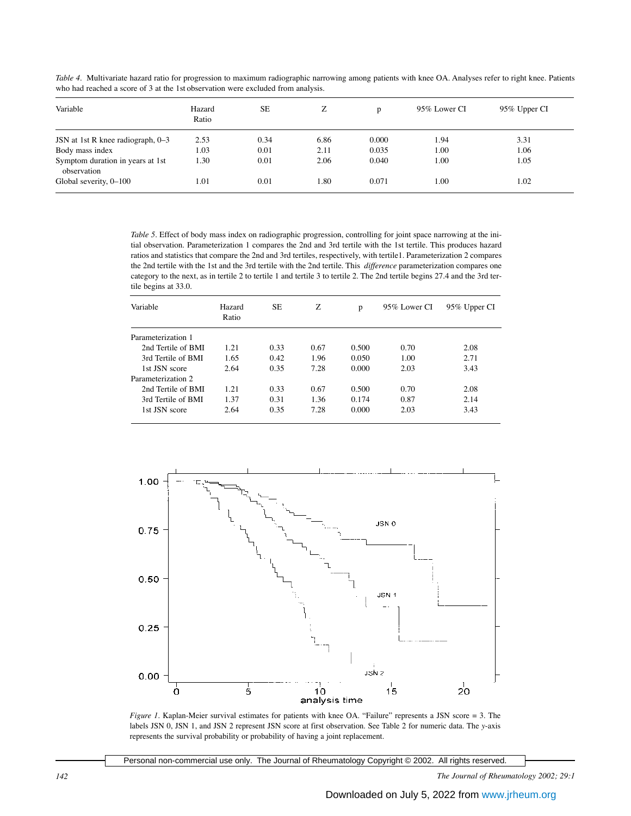| Variable                                        | Hazard<br>Ratio | <b>SE</b> | Z    | D     | 95\% Lower CI | 95% Upper CI |
|-------------------------------------------------|-----------------|-----------|------|-------|---------------|--------------|
|                                                 |                 |           |      |       |               |              |
| JSN at 1st R knee radiograph, $0-3$             | 2.53            | 0.34      | 6.86 | 0.000 | 1.94          | 3.31         |
| Body mass index                                 | 1.03            | 0.01      | 2.11 | 0.035 | 1.00          | 1.06         |
| Symptom duration in years at 1st<br>observation | 1.30            | 0.01      | 2.06 | 0.040 | 1.00          | 1.05         |
| Global severity, 0-100                          | 1.01            | 0.01      | 1.80 | 0.071 | 1.00          | 1.02         |

*Table 4.* Multivariate hazard ratio for progression to maximum radiographic narrowing among patients with knee OA. Analyses refer to right knee. Patients who had reached a score of 3 at the 1st observation were excluded from analysis.

*Table 5.* Effect of body mass index on radiographic progression, controlling for joint space narrowing at the initial observation. Parameterization 1 compares the 2nd and 3rd tertile with the 1st tertile. This produces hazard ratios and statistics that compare the 2nd and 3rd tertiles, respectively, with tertile1. Parameterization 2 compares the 2nd tertile with the 1st and the 3rd tertile with the 2nd tertile. This *difference* parameterization compares one category to the next, as in tertile 2 to tertile 1 and tertile 3 to tertile 2. The 2nd tertile begins 27.4 and the 3rd tertile begins at 33.0.

| Variable           | Hazard<br>Ratio | SЕ   | Z    | p     | 95% Lower CI | 95% Upper CI |
|--------------------|-----------------|------|------|-------|--------------|--------------|
| Parameterization 1 |                 |      |      |       |              |              |
| 2nd Tertile of BMI | 1.21            | 0.33 | 0.67 | 0.500 | 0.70         | 2.08         |
| 3rd Tertile of BMI | 1.65            | 0.42 | 1.96 | 0.050 | 1.00         | 2.71         |
| 1st JSN score      | 2.64            | 0.35 | 7.28 | 0.000 | 2.03         | 3.43         |
| Parameterization 2 |                 |      |      |       |              |              |
| 2nd Tertile of BMI | 1.21            | 0.33 | 0.67 | 0.500 | 0.70         | 2.08         |
| 3rd Tertile of BMI | 1.37            | 0.31 | 1.36 | 0.174 | 0.87         | 2.14         |
| 1st JSN score      | 2.64            | 0.35 | 7.28 | 0.000 | 2.03         | 3.43         |



*Figure 1.* Kaplan-Meier survival estimates for patients with knee OA. "Failure" represents a JSN score = 3. The labels JSN 0, JSN 1, and JSN 2 represent JSN score at first observation. See Table 2 for numeric data. The *y*-axis represents the survival probability or probability of having a joint replacement.

Personal non-commercial use only. The Journal of Rheumatology Copyright © 2002. All rights reserved.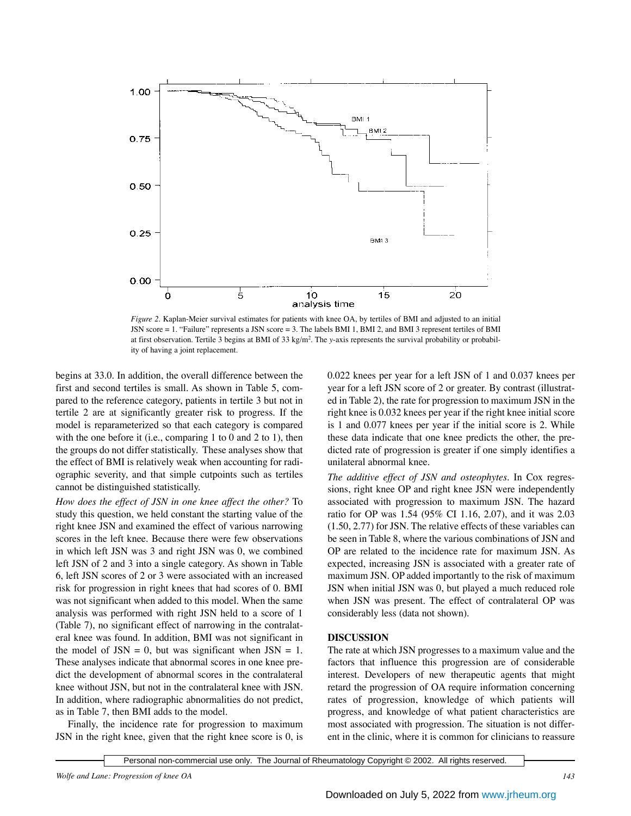

*Figure 2.* Kaplan-Meier survival estimates for patients with knee OA, by tertiles of BMI and adjusted to an initial JSN score = 1. "Failure" represents a JSN score = 3. The labels BMI 1, BMI 2, and BMI 3 represent tertiles of BMI at first observation. Tertile 3 begins at BMI of 33 kg/m<sup>2</sup>. The *y*-axis represents the survival probability or probability of having a joint replacement.

begins at 33.0. In addition, the overall difference between the first and second tertiles is small. As shown in Table 5, compared to the reference category, patients in tertile 3 but not in tertile 2 are at significantly greater risk to progress. If the model is reparameterized so that each category is compared with the one before it (i.e., comparing 1 to 0 and 2 to 1), then the groups do not differ statistically. These analyses show that the effect of BMI is relatively weak when accounting for radiographic severity, and that simple cutpoints such as tertiles cannot be distinguished statistically.

*How does the effect of JSN in one knee affect the other?* To study this question, we held constant the starting value of the right knee JSN and examined the effect of various narrowing scores in the left knee. Because there were few observations in which left JSN was 3 and right JSN was 0, we combined left JSN of 2 and 3 into a single category. As shown in Table 6, left JSN scores of 2 or 3 were associated with an increased risk for progression in right knees that had scores of 0. BMI was not significant when added to this model. When the same analysis was performed with right JSN held to a score of 1 (Table 7), no significant effect of narrowing in the contralateral knee was found. In addition, BMI was not significant in the model of  $JSN = 0$ , but was significant when  $JSN = 1$ . These analyses indicate that abnormal scores in one knee predict the development of abnormal scores in the contralateral knee without JSN, but not in the contralateral knee with JSN. In addition, where radiographic abnormalities do not predict, as in Table 7, then BMI adds to the model.

Finally, the incidence rate for progression to maximum JSN in the right knee, given that the right knee score is 0, is

0.022 knees per year for a left JSN of 1 and 0.037 knees per year for a left JSN score of 2 or greater. By contrast (illustrated in Table 2), the rate for progression to maximum JSN in the right knee is 0.032 knees per year if the right knee initial score is 1 and 0.077 knees per year if the initial score is 2. While these data indicate that one knee predicts the other, the predicted rate of progression is greater if one simply identifies a unilateral abnormal knee.

*The additive effect of JSN and osteophytes.* In Cox regressions, right knee OP and right knee JSN were independently associated with progression to maximum JSN. The hazard ratio for OP was 1.54 (95% CI 1.16, 2.07), and it was 2.03 (1.50, 2.77) for JSN. The relative effects of these variables can be seen in Table 8, where the various combinations of JSN and OP are related to the incidence rate for maximum JSN. As expected, increasing JSN is associated with a greater rate of maximum JSN. OP added importantly to the risk of maximum JSN when initial JSN was 0, but played a much reduced role when JSN was present. The effect of contralateral OP was considerably less (data not shown).

# **DISCUSSION**

The rate at which JSN progresses to a maximum value and the factors that influence this progression are of considerable interest. Developers of new therapeutic agents that might retard the progression of OA require information concerning rates of progression, knowledge of which patients will progress, and knowledge of what patient characteristics are most associated with progression. The situation is not different in the clinic, where it is common for clinicians to reassure

Personal non-commercial use only. The Journal of Rheumatology Copyright © 2002. All rights reserved.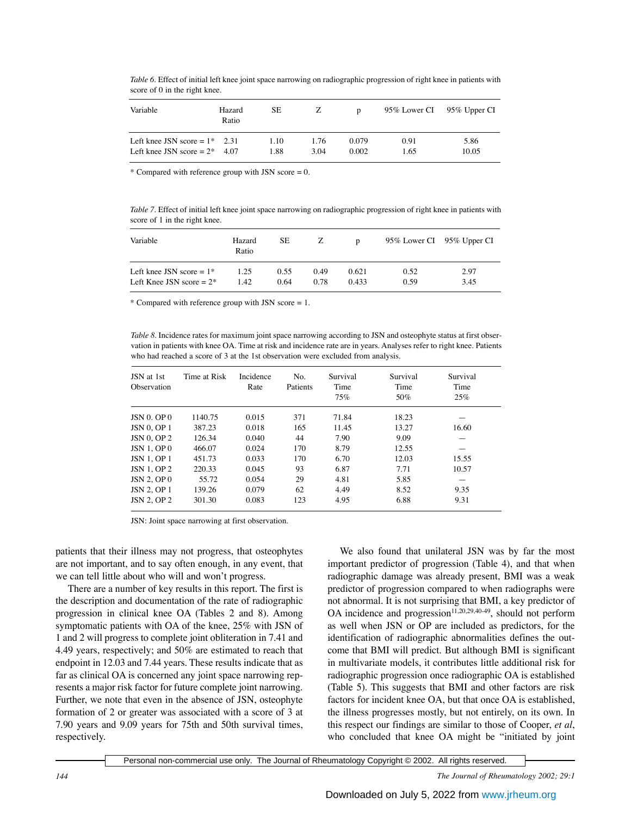| score of 0 in the right knee. |                 |    |   |   |                           |  |  |  |  |  |
|-------------------------------|-----------------|----|---|---|---------------------------|--|--|--|--|--|
| Variable                      | Hazard<br>Ratio | SЕ | Z | D | 95% Lower CI 95% Upper CI |  |  |  |  |  |

Left knee JSN score =  $1*$  2.31 1.10 1.76 0.079 0.91 5.86 Left knee JSN score =  $2^*$  4.07 1.88 3.04 0.002 1.65 10.05

*Table 6.* Effect of initial left knee joint space narrowing on radiographic progression of right knee in patients with score of 0 in the right knee.

\* Compared with reference group with JSN score  $= 0$ .

*Table 7.* Effect of initial left knee joint space narrowing on radiographic progression of right knee in patients with score of 1 in the right knee.

| Variable                               | Hazard<br>Ratio | SЕ   | Ζ    | D     | 95% Lower CI 95% Upper CI |      |
|----------------------------------------|-----------------|------|------|-------|---------------------------|------|
| Left knee JSN score $= 1$ <sup>*</sup> | 1.25            | 0.55 | 0.49 | 0.621 | 0.52                      | 2.97 |
| Left Knee JSN score $= 2^*$            | 1.42.           | 0.64 | 0.78 | 0.433 | 0.59                      | 3.45 |

\* Compared with reference group with JSN score = 1.

*Table 8.* Incidence rates for maximum joint space narrowing according to JSN and osteophyte status at first observation in patients with knee OA. Time at risk and incidence rate are in years. Analyses refer to right knee. Patients who had reached a score of 3 at the 1st observation were excluded from analysis.

| JSN at 1st<br>Observation | Time at Risk | Incidence<br>Rate | No.<br>Patients | Survival<br>Time<br>75% | Survival<br>Time<br>50% | Survival<br>Time<br>25% |
|---------------------------|--------------|-------------------|-----------------|-------------------------|-------------------------|-------------------------|
| JSN 0. OP 0               | 1140.75      | 0.015             | 371             | 71.84                   | 18.23                   |                         |
| $JSN 0$ , OP 1            | 387.23       | 0.018             | 165             | 11.45                   | 13.27                   | 16.60                   |
| JSN 0. OP 2               | 126.34       | 0.040             | 44              | 7.90                    | 9.09                    |                         |
| <b>JSN 1, OP0</b>         | 466.07       | 0.024             | 170             | 8.79                    | 12.55                   |                         |
| <b>JSN 1, OP 1</b>        | 451.73       | 0.033             | 170             | 6.70                    | 12.03                   | 15.55                   |
| <b>JSN 1, OP 2</b>        | 220.33       | 0.045             | 93              | 6.87                    | 7.71                    | 10.57                   |
| JSN 2, OP 0               | 55.72        | 0.054             | 29              | 4.81                    | 5.85                    |                         |
| <b>JSN 2, OP1</b>         | 139.26       | 0.079             | 62              | 4.49                    | 8.52                    | 9.35                    |
| <b>JSN 2, OP 2</b>        | 301.30       | 0.083             | 123             | 4.95                    | 6.88                    | 9.31                    |

JSN: Joint space narrowing at first observation.

patients that their illness may not progress, that osteophytes are not important, and to say often enough, in any event, that we can tell little about who will and won't progress.

There are a number of key results in this report. The first is the description and documentation of the rate of radiographic progression in clinical knee OA (Tables 2 and 8). Among symptomatic patients with OA of the knee, 25% with JSN of 1 and 2 will progress to complete joint obliteration in 7.41 and 4.49 years, respectively; and 50% are estimated to reach that endpoint in 12.03 and 7.44 years. These results indicate that as far as clinical OA is concerned any joint space narrowing represents a major risk factor for future complete joint narrowing. Further, we note that even in the absence of JSN, osteophyte formation of 2 or greater was associated with a score of 3 at 7.90 years and 9.09 years for 75th and 50th survival times, respectively.

We also found that unilateral JSN was by far the most important predictor of progression (Table 4), and that when radiographic damage was already present, BMI was a weak predictor of progression compared to when radiographs were not abnormal. It is not surprising that BMI, a key predictor of OA incidence and progression $11,20,29,40-49$ , should not perform as well when JSN or OP are included as predictors, for the identification of radiographic abnormalities defines the outcome that BMI will predict. But although BMI is significant in multivariate models, it contributes little additional risk for radiographic progression once radiographic OA is established (Table 5). This suggests that BMI and other factors are risk factors for incident knee OA, but that once OA is established, the illness progresses mostly, but not entirely, on its own. In this respect our findings are similar to those of Cooper, *et al*, who concluded that knee OA might be "initiated by joint

Personal non-commercial use only. The Journal of Rheumatology Copyright © 2002. All rights reserved.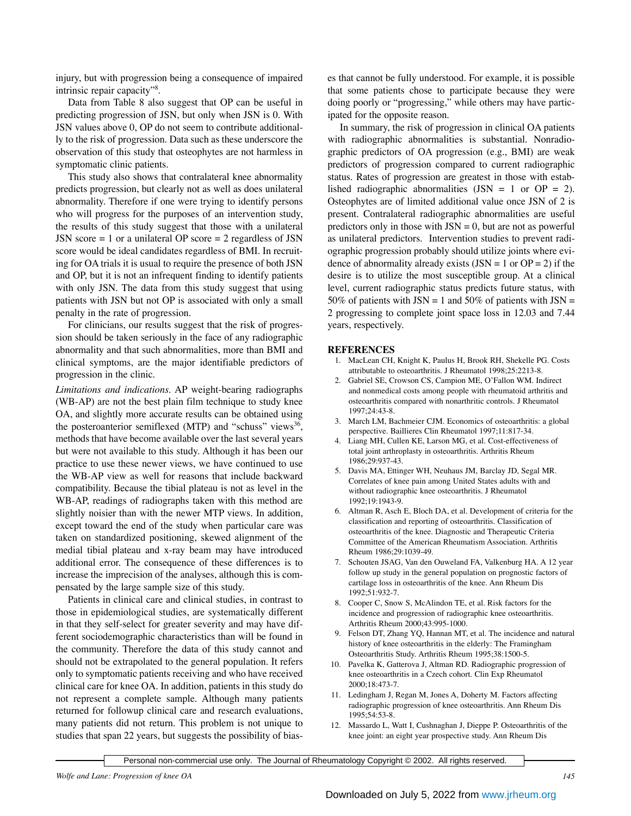injury, but with progression being a consequence of impaired intrinsic repair capacity"8 .

Data from Table 8 also suggest that OP can be useful in predicting progression of JSN, but only when JSN is 0. With JSN values above 0, OP do not seem to contribute additionally to the risk of progression. Data such as these underscore the observation of this study that osteophytes are not harmless in symptomatic clinic patients.

This study also shows that contralateral knee abnormality predicts progression, but clearly not as well as does unilateral abnormality. Therefore if one were trying to identify persons who will progress for the purposes of an intervention study, the results of this study suggest that those with a unilateral JSN score  $= 1$  or a unilateral OP score  $= 2$  regardless of JSN score would be ideal candidates regardless of BMI. In recruiting for OA trials it is usual to require the presence of both JSN and OP, but it is not an infrequent finding to identify patients with only JSN. The data from this study suggest that using patients with JSN but not OP is associated with only a small penalty in the rate of progression.

For clinicians, our results suggest that the risk of progression should be taken seriously in the face of any radiographic abnormality and that such abnormalities, more than BMI and clinical symptoms, are the major identifiable predictors of progression in the clinic.

*Limitations and indications.* AP weight-bearing radiographs (WB-AP) are not the best plain film technique to study knee OA, and slightly more accurate results can be obtained using the posteroanterior semiflexed (MTP) and "schuss" views $36$ , methods that have become available over the last several years but were not available to this study. Although it has been our practice to use these newer views, we have continued to use the WB-AP view as well for reasons that include backward compatibility. Because the tibial plateau is not as level in the WB-AP, readings of radiographs taken with this method are slightly noisier than with the newer MTP views. In addition, except toward the end of the study when particular care was taken on standardized positioning, skewed alignment of the medial tibial plateau and x-ray beam may have introduced additional error. The consequence of these differences is to increase the imprecision of the analyses, although this is compensated by the large sample size of this study.

Patients in clinical care and clinical studies, in contrast to those in epidemiological studies, are systematically different in that they self-select for greater severity and may have different sociodemographic characteristics than will be found in the community. Therefore the data of this study cannot and should not be extrapolated to the general population. It refers only to symptomatic patients receiving and who have received clinical care for knee OA. In addition, patients in this study do not represent a complete sample. Although many patients returned for followup clinical care and research evaluations, many patients did not return. This problem is not unique to studies that span 22 years, but suggests the possibility of biases that cannot be fully understood. For example, it is possible that some patients chose to participate because they were doing poorly or "progressing," while others may have participated for the opposite reason.

In summary, the risk of progression in clinical OA patients with radiographic abnormalities is substantial. Nonradiographic predictors of OA progression (e.g., BMI) are weak predictors of progression compared to current radiographic status. Rates of progression are greatest in those with established radiographic abnormalities  $(JSN = 1 \text{ or } OP = 2)$ . Osteophytes are of limited additional value once JSN of 2 is present. Contralateral radiographic abnormalities are useful predictors only in those with  $JSN = 0$ , but are not as powerful as unilateral predictors. Intervention studies to prevent radiographic progression probably should utilize joints where evidence of abnormality already exists  $(JSN = 1 \text{ or } OP = 2)$  if the desire is to utilize the most susceptible group. At a clinical level, current radiographic status predicts future status, with 50% of patients with  $JSN = 1$  and 50% of patients with  $JSN =$ 2 progressing to complete joint space loss in 12.03 and 7.44 years, respectively.

# **REFERENCES**

- 1. MacLean CH, Knight K, Paulus H, Brook RH, Shekelle PG. Costs attributable to osteoarthritis. J Rheumatol 1998;25:2213-8.
- 2. Gabriel SE, Crowson CS, Campion ME, O'Fallon WM. Indirect and nonmedical costs among people with rheumatoid arthritis and osteoarthritis compared with nonarthritic controls. J Rheumatol 1997;24:43-8.
- 3. March LM, Bachmeier CJM. Economics of osteoarthritis: a global perspective. Baillieres Clin Rheumatol 1997;11:817-34.
- Liang MH, Cullen KE, Larson MG, et al. Cost-effectiveness of total joint arthroplasty in osteoarthritis. Arthritis Rheum 1986;29:937-43.
- 5. Davis MA, Ettinger WH, Neuhaus JM, Barclay JD, Segal MR. Correlates of knee pain among United States adults with and without radiographic knee osteoarthritis. J Rheumatol 1992;19:1943-9.
- 6. Altman R, Asch E, Bloch DA, et al. Development of criteria for the classification and reporting of osteoarthritis. Classification of osteoarthritis of the knee. Diagnostic and Therapeutic Criteria Committee of the American Rheumatism Association. Arthritis Rheum 1986;29:1039-49.
- 7. Schouten JSAG, Van den Ouweland FA, Valkenburg HA. A 12 year follow up study in the general population on prognostic factors of cartilage loss in osteoarthritis of the knee. Ann Rheum Dis 1992;51:932-7.
- 8. Cooper C, Snow S, McAlindon TE, et al. Risk factors for the incidence and progression of radiographic knee osteoarthritis. Arthritis Rheum 2000;43:995-1000.
- 9. Felson DT, Zhang YQ, Hannan MT, et al. The incidence and natural history of knee osteoarthritis in the elderly: The Framingham Osteoarthritis Study. Arthritis Rheum 1995;38:1500-5.
- 10. Pavelka K, Gatterova J, Altman RD. Radiographic progression of knee osteoarthritis in a Czech cohort. Clin Exp Rheumatol 2000;18:473-7.
- 11. Ledingham J, Regan M, Jones A, Doherty M. Factors affecting radiographic progression of knee osteoarthritis. Ann Rheum Dis 1995;54:53-8.
- 12. Massardo L, Watt I, Cushnaghan J, Dieppe P. Osteoarthritis of the knee joint: an eight year prospective study. Ann Rheum Dis

Personal non-commercial use only. The Journal of Rheumatology Copyright © 2002. All rights reserved.